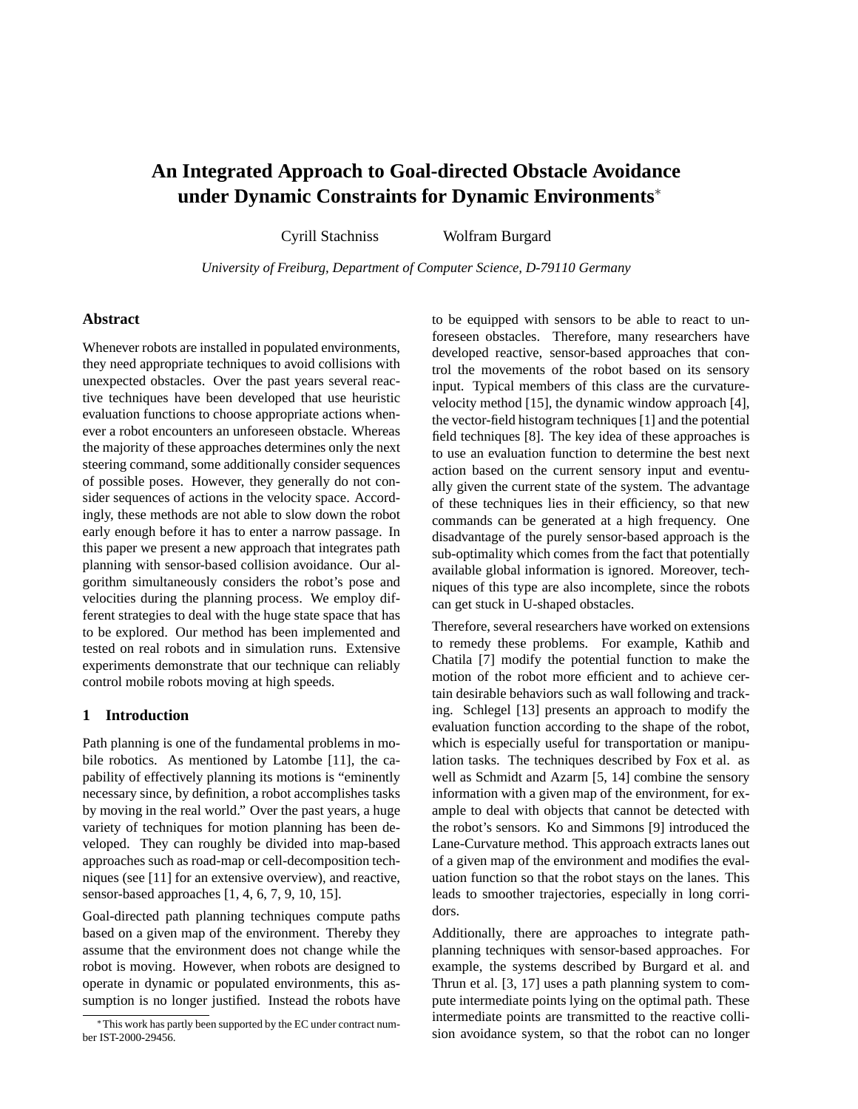# **An Integrated Approach to Goal-directed Obstacle Avoidance under Dynamic Constraints for Dynamic Environments**<sup>∗</sup>

Cyrill Stachniss Wolfram Burgard

*University of Freiburg, Department of Computer Science, D-79110 Germany*

## **Abstract**

Whenever robots are installed in populated environments, they need appropriate techniques to avoid collisions with unexpected obstacles. Over the past years several reactive techniques have been developed that use heuristic evaluation functions to choose appropriate actions whenever a robot encounters an unforeseen obstacle. Whereas the majority of these approaches determines only the next steering command, some additionally consider sequences of possible poses. However, they generally do not consider sequences of actions in the velocity space. Accordingly, these methods are not able to slow down the robot early enough before it has to enter a narrow passage. In this paper we present a new approach that integrates path planning with sensor-based collision avoidance. Our algorithm simultaneously considers the robot's pose and velocities during the planning process. We employ different strategies to deal with the huge state space that has to be explored. Our method has been implemented and tested on real robots and in simulation runs. Extensive experiments demonstrate that our technique can reliably control mobile robots moving at high speeds.

#### **1 Introduction**

Path planning is one of the fundamental problems in mobile robotics. As mentioned by Latombe [11], the capability of effectively planning its motions is "eminently necessary since, by definition, a robot accomplishes tasks by moving in the real world." Over the past years, a huge variety of techniques for motion planning has been developed. They can roughly be divided into map-based approaches such as road-map or cell-decomposition techniques (see [11] for an extensive overview), and reactive, sensor-based approaches [1, 4, 6, 7, 9, 10, 15].

Goal-directed path planning techniques compute paths based on a given map of the environment. Thereby they assume that the environment does not change while the robot is moving. However, when robots are designed to operate in dynamic or populated environments, this assumption is no longer justified. Instead the robots have to be equipped with sensors to be able to react to unforeseen obstacles. Therefore, many researchers have developed reactive, sensor-based approaches that control the movements of the robot based on its sensory input. Typical members of this class are the curvaturevelocity method [15], the dynamic window approach [4], the vector-field histogram techniques [1] and the potential field techniques [8]. The key idea of these approaches is to use an evaluation function to determine the best next action based on the current sensory input and eventually given the current state of the system. The advantage of these techniques lies in their efficiency, so that new commands can be generated at a high frequency. One disadvantage of the purely sensor-based approach is the sub-optimality which comes from the fact that potentially available global information is ignored. Moreover, techniques of this type are also incomplete, since the robots can get stuck in U-shaped obstacles.

Therefore, several researchers have worked on extensions to remedy these problems. For example, Kathib and Chatila [7] modify the potential function to make the motion of the robot more efficient and to achieve certain desirable behaviors such as wall following and tracking. Schlegel [13] presents an approach to modify the evaluation function according to the shape of the robot, which is especially useful for transportation or manipulation tasks. The techniques described by Fox et al. as well as Schmidt and Azarm [5, 14] combine the sensory information with a given map of the environment, for example to deal with objects that cannot be detected with the robot's sensors. Ko and Simmons [9] introduced the Lane-Curvature method. This approach extracts lanes out of a given map of the environment and modifies the evaluation function so that the robot stays on the lanes. This leads to smoother trajectories, especially in long corridors.

Additionally, there are approaches to integrate pathplanning techniques with sensor-based approaches. For example, the systems described by Burgard et al. and Thrun et al. [3, 17] uses a path planning system to compute intermediate points lying on the optimal path. These intermediate points are transmitted to the reactive collision avoidance system, so that the robot can no longer

<sup>∗</sup>This work has partly been supported by the EC under contract number IST-2000-29456.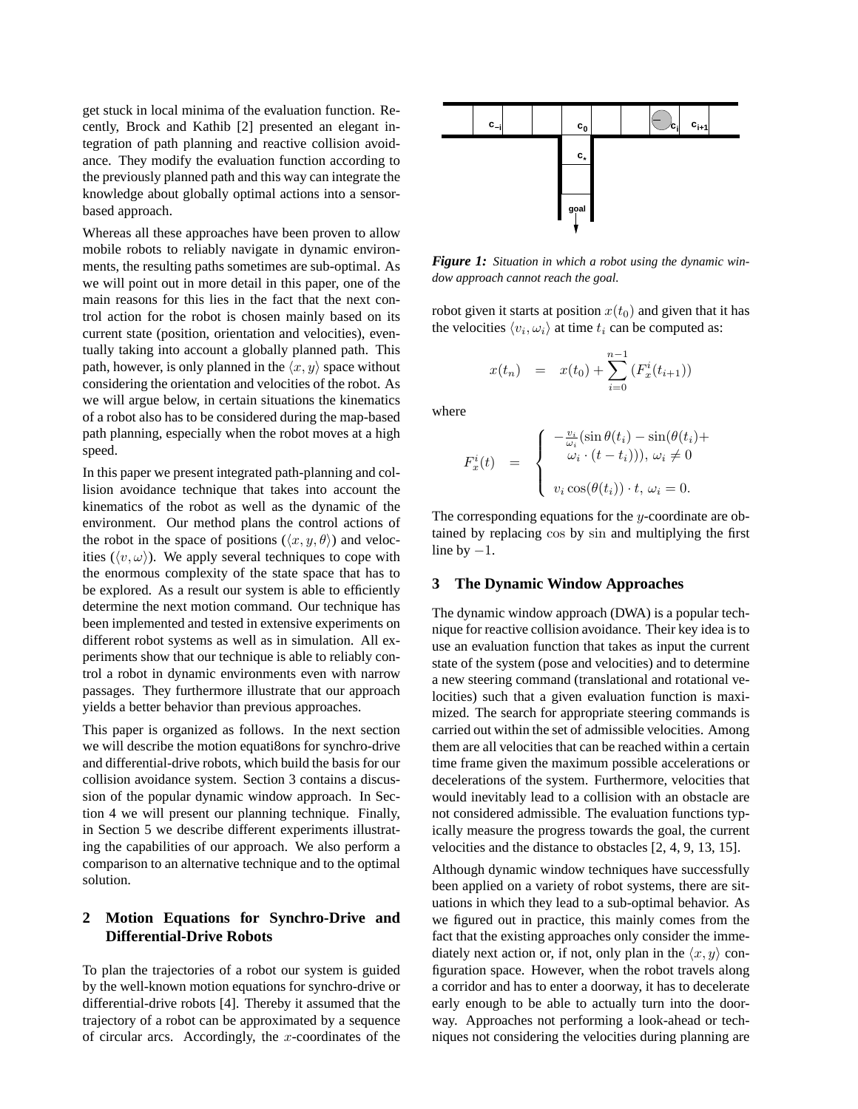get stuck in local minima of the evaluation function. Recently, Brock and Kathib [2] presented an elegant integration of path planning and reactive collision avoidance. They modify the evaluation function according to the previously planned path and this way can integrate the knowledge about globally optimal actions into a sensorbased approach.

Whereas all these approaches have been proven to allow mobile robots to reliably navigate in dynamic environments, the resulting paths sometimes are sub-optimal. As we will point out in more detail in this paper, one of the main reasons for this lies in the fact that the next control action for the robot is chosen mainly based on its current state (position, orientation and velocities), eventually taking into account a globally planned path. This path, however, is only planned in the  $\langle x, y \rangle$  space without considering the orientation and velocities of the robot. As we will argue below, in certain situations the kinematics of a robot also has to be considered during the map-based path planning, especially when the robot moves at a high speed.

In this paper we present integrated path-planning and collision avoidance technique that takes into account the kinematics of the robot as well as the dynamic of the environment. Our method plans the control actions of the robot in the space of positions  $(\langle x, y, \theta \rangle)$  and velocities  $(\langle v, \omega \rangle)$ . We apply several techniques to cope with the enormous complexity of the state space that has to be explored. As a result our system is able to efficiently determine the next motion command. Our technique has been implemented and tested in extensive experiments on different robot systems as well as in simulation. All experiments show that our technique is able to reliably control a robot in dynamic environments even with narrow passages. They furthermore illustrate that our approach yields a better behavior than previous approaches.

This paper is organized as follows. In the next section we will describe the motion equati8ons for synchro-drive and differential-drive robots, which build the basis for our collision avoidance system. Section 3 contains a discussion of the popular dynamic window approach. In Section 4 we will present our planning technique. Finally, in Section 5 we describe different experiments illustrating the capabilities of our approach. We also perform a comparison to an alternative technique and to the optimal solution.

## **2 Motion Equations for Synchro-Drive and Differential-Drive Robots**

To plan the trajectories of a robot our system is guided by the well-known motion equations for synchro-drive or differential-drive robots [4]. Thereby it assumed that the trajectory of a robot can be approximated by a sequence of circular arcs. Accordingly, the  $x$ -coordinates of the



*Figure 1: Situation in which a robot using the dynamic window approach cannot reach the goal.*

robot given it starts at position  $x(t_0)$  and given that it has the velocities  $\langle v_i, \omega_i \rangle$  at time  $t_i$  can be computed as:

$$
x(t_n) = x(t_0) + \sum_{i=0}^{n-1} (F_x^i(t_{i+1}))
$$

where

$$
F_x^i(t) = \begin{cases} -\frac{v_i}{\omega_i} (\sin \theta(t_i) - \sin(\theta(t_i) + \omega_i)) & \text{if } \omega_i \neq 0 \\ v_i \cos(\theta(t_i)) \cdot t, & \text{if } \omega_i = 0. \end{cases}
$$

The corresponding equations for the  $y$ -coordinate are obtained by replacing cos by sin and multiplying the first line by  $-1$ .

#### **3 The Dynamic Window Approaches**

The dynamic window approach (DWA) is a popular technique for reactive collision avoidance. Their key idea is to use an evaluation function that takes as input the current state of the system (pose and velocities) and to determine a new steering command (translational and rotational velocities) such that a given evaluation function is maximized. The search for appropriate steering commands is carried out within the set of admissible velocities. Among them are all velocities that can be reached within a certain time frame given the maximum possible accelerations or decelerations of the system. Furthermore, velocities that would inevitably lead to a collision with an obstacle are not considered admissible. The evaluation functions typically measure the progress towards the goal, the current velocities and the distance to obstacles [2, 4, 9, 13, 15].

Although dynamic window techniques have successfully been applied on a variety of robot systems, there are situations in which they lead to a sub-optimal behavior. As we figured out in practice, this mainly comes from the fact that the existing approaches only consider the immediately next action or, if not, only plan in the  $\langle x, y \rangle$  configuration space. However, when the robot travels along a corridor and has to enter a doorway, it has to decelerate early enough to be able to actually turn into the doorway. Approaches not performing a look-ahead or techniques not considering the velocities during planning are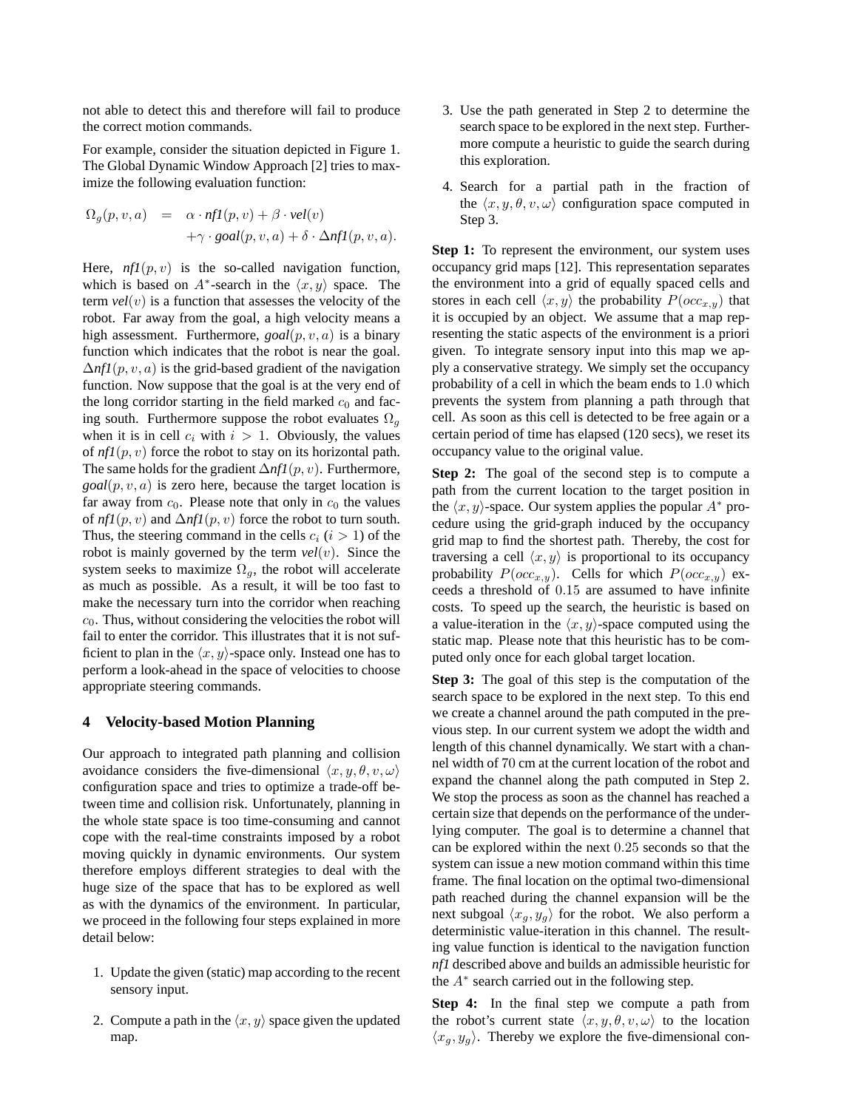not able to detect this and therefore will fail to produce the correct motion commands.

For example, consider the situation depicted in Figure 1. The Global Dynamic Window Approach [2] tries to maximize the following evaluation function:

$$
\Omega_g(p, v, a) = \alpha \cdot nfl(p, v) + \beta \cdot vel(v) \n+ \gamma \cdot goal(p, v, a) + \delta \cdot \Delta nfl(p, v, a).
$$

Here,  $nf1(p, v)$  is the so-called navigation function, which is based on  $A^*$ -search in the  $\langle x, y \rangle$  space. The term  $vel(v)$  is a function that assesses the velocity of the robot. Far away from the goal, a high velocity means a high assessment. Furthermore, *goal*(p, v, a) is a binary function which indicates that the robot is near the goal.  $\Delta$ *nf1*(p, v, a) is the grid-based gradient of the navigation function. Now suppose that the goal is at the very end of the long corridor starting in the field marked  $c_0$  and facing south. Furthermore suppose the robot evaluates  $\Omega_q$ when it is in cell  $c_i$  with  $i > 1$ . Obviously, the values of  $n f l(p, v)$  force the robot to stay on its horizontal path. The same holds for the gradient ∆*nf1*(p, v). Furthermore,  $goal(p, v, a)$  is zero here, because the target location is far away from  $c_0$ . Please note that only in  $c_0$  the values of  $nfl(p, v)$  and  $\Delta nfl(p, v)$  force the robot to turn south. Thus, the steering command in the cells  $c_i$  ( $i > 1$ ) of the robot is mainly governed by the term *vel*(v). Since the system seeks to maximize  $\Omega_g$ , the robot will accelerate as much as possible. As a result, it will be too fast to make the necessary turn into the corridor when reaching  $c<sub>0</sub>$ . Thus, without considering the velocities the robot will fail to enter the corridor. This illustrates that it is not sufficient to plan in the  $\langle x, y \rangle$ -space only. Instead one has to perform a look-ahead in the space of velocities to choose appropriate steering commands.

#### **4 Velocity-based Motion Planning**

Our approach to integrated path planning and collision avoidance considers the five-dimensional  $\langle x, y, \theta, v, \omega \rangle$ configuration space and tries to optimize a trade-off between time and collision risk. Unfortunately, planning in the whole state space is too time-consuming and cannot cope with the real-time constraints imposed by a robot moving quickly in dynamic environments. Our system therefore employs different strategies to deal with the huge size of the space that has to be explored as well as with the dynamics of the environment. In particular, we proceed in the following four steps explained in more detail below:

- 1. Update the given (static) map according to the recent sensory input.
- 2. Compute a path in the  $\langle x, y \rangle$  space given the updated map.
- 3. Use the path generated in Step 2 to determine the search space to be explored in the next step. Furthermore compute a heuristic to guide the search during this exploration.
- 4. Search for a partial path in the fraction of the  $\langle x, y, \theta, v, \omega \rangle$  configuration space computed in Step 3.

**Step 1:** To represent the environment, our system uses occupancy grid maps [12]. This representation separates the environment into a grid of equally spaced cells and stores in each cell  $\langle x, y \rangle$  the probability  $P(occ_{x,y})$  that it is occupied by an object. We assume that a map representing the static aspects of the environment is a priori given. To integrate sensory input into this map we apply a conservative strategy. We simply set the occupancy probability of a cell in which the beam ends to 1.0 which prevents the system from planning a path through that cell. As soon as this cell is detected to be free again or a certain period of time has elapsed (120 secs), we reset its occupancy value to the original value.

**Step 2:** The goal of the second step is to compute a path from the current location to the target position in the  $\langle x, y \rangle$ -space. Our system applies the popular  $A^*$  procedure using the grid-graph induced by the occupancy grid map to find the shortest path. Thereby, the cost for traversing a cell  $\langle x, y \rangle$  is proportional to its occupancy probability  $P(occ_{x,y})$ . Cells for which  $P(occ_{x,y})$  exceeds a threshold of 0.15 are assumed to have infinite costs. To speed up the search, the heuristic is based on a value-iteration in the  $\langle x, y \rangle$ -space computed using the static map. Please note that this heuristic has to be computed only once for each global target location.

**Step 3:** The goal of this step is the computation of the search space to be explored in the next step. To this end we create a channel around the path computed in the previous step. In our current system we adopt the width and length of this channel dynamically. We start with a channel width of 70 cm at the current location of the robot and expand the channel along the path computed in Step 2. We stop the process as soon as the channel has reached a certain size that depends on the performance of the underlying computer. The goal is to determine a channel that can be explored within the next 0.25 seconds so that the system can issue a new motion command within this time frame. The final location on the optimal two-dimensional path reached during the channel expansion will be the next subgoal  $\langle x_g, y_g \rangle$  for the robot. We also perform a deterministic value-iteration in this channel. The resulting value function is identical to the navigation function *nf1* described above and builds an admissible heuristic for the  $A^*$  search carried out in the following step.

**Step 4:** In the final step we compute a path from the robot's current state  $\langle x, y, \theta, v, \omega \rangle$  to the location  $\langle x_g, y_g \rangle$ . Thereby we explore the five-dimensional con-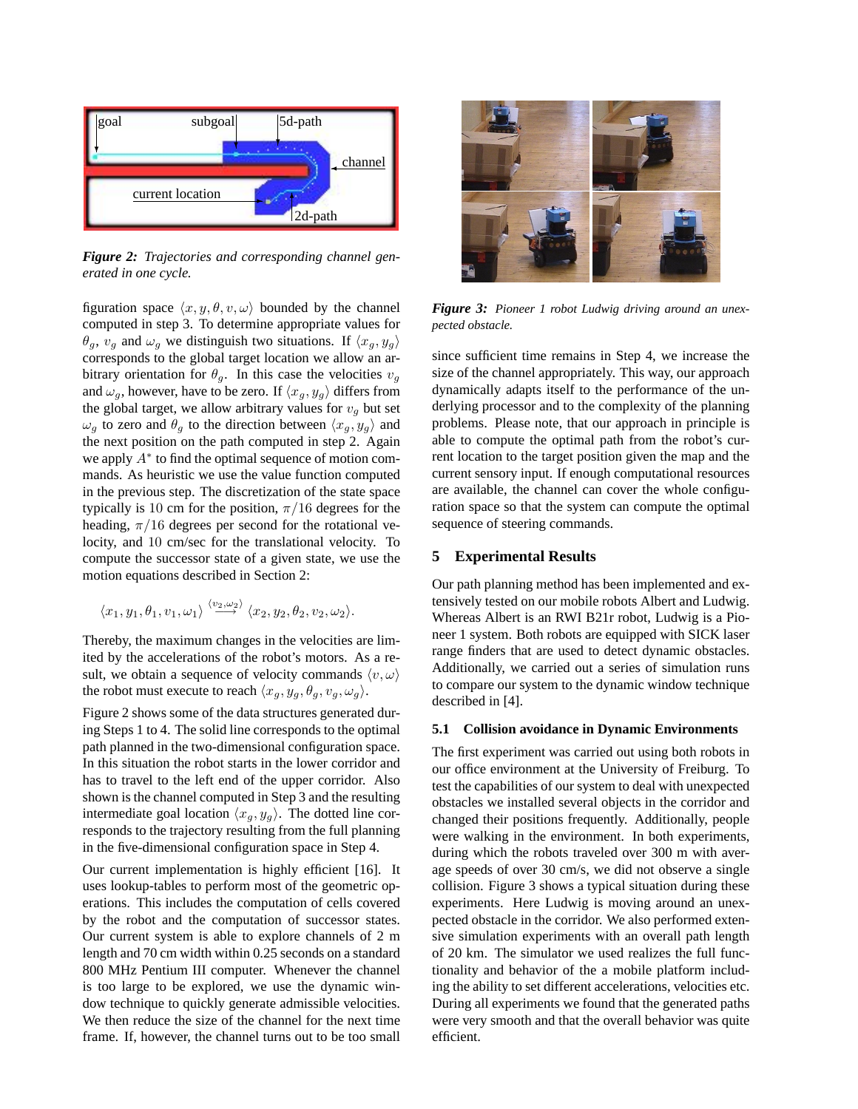

*Figure 2: Trajectories and corresponding channel generated in one cycle.*

figuration space  $\langle x, y, \theta, v, \omega \rangle$  bounded by the channel computed in step 3. To determine appropriate values for  $\theta_g$ ,  $v_g$  and  $\omega_g$  we distinguish two situations. If  $\langle x_g, y_g \rangle$ corresponds to the global target location we allow an arbitrary orientation for  $\theta_q$ . In this case the velocities  $v_q$ and  $\omega_g$ , however, have to be zero. If  $\langle x_g, y_g \rangle$  differs from the global target, we allow arbitrary values for  $v<sub>q</sub>$  but set  $\omega_g$  to zero and  $\theta_g$  to the direction between  $\langle x_g, y_g \rangle$  and the next position on the path computed in step 2. Again we apply  $A^*$  to find the optimal sequence of motion commands. As heuristic we use the value function computed in the previous step. The discretization of the state space typically is 10 cm for the position,  $\pi/16$  degrees for the heading,  $\pi/16$  degrees per second for the rotational velocity, and 10 cm/sec for the translational velocity. To compute the successor state of a given state, we use the motion equations described in Section 2:

$$
\langle x_1,y_1,\theta_1,v_1,\omega_1\rangle\stackrel{\langle v_2,\omega_2\rangle}{\longrightarrow}\langle x_2,y_2,\theta_2,v_2,\omega_2\rangle.
$$

Thereby, the maximum changes in the velocities are limited by the accelerations of the robot's motors. As a result, we obtain a sequence of velocity commands  $\langle v, \omega \rangle$ the robot must execute to reach  $\langle x_q, y_q, \theta_q, v_q, \omega_q \rangle$ .

Figure 2 shows some of the data structures generated during Steps 1 to 4. The solid line corresponds to the optimal path planned in the two-dimensional configuration space. In this situation the robot starts in the lower corridor and has to travel to the left end of the upper corridor. Also shown is the channel computed in Step 3 and the resulting intermediate goal location  $\langle x_g, y_g \rangle$ . The dotted line corresponds to the trajectory resulting from the full planning in the five-dimensional configuration space in Step 4.

Our current implementation is highly efficient [16]. It uses lookup-tables to perform most of the geometric operations. This includes the computation of cells covered by the robot and the computation of successor states. Our current system is able to explore channels of 2 m length and 70 cm width within 0.25 seconds on a standard 800 MHz Pentium III computer. Whenever the channel is too large to be explored, we use the dynamic window technique to quickly generate admissible velocities. We then reduce the size of the channel for the next time frame. If, however, the channel turns out to be too small



*Figure 3: Pioneer 1 robot Ludwig driving around an unexpected obstacle.*

since sufficient time remains in Step 4, we increase the size of the channel appropriately. This way, our approach dynamically adapts itself to the performance of the underlying processor and to the complexity of the planning problems. Please note, that our approach in principle is able to compute the optimal path from the robot's current location to the target position given the map and the current sensory input. If enough computational resources are available, the channel can cover the whole configuration space so that the system can compute the optimal sequence of steering commands.

## **5 Experimental Results**

Our path planning method has been implemented and extensively tested on our mobile robots Albert and Ludwig. Whereas Albert is an RWI B21r robot, Ludwig is a Pioneer 1 system. Both robots are equipped with SICK laser range finders that are used to detect dynamic obstacles. Additionally, we carried out a series of simulation runs to compare our system to the dynamic window technique described in [4].

#### **5.1 Collision avoidance in Dynamic Environments**

The first experiment was carried out using both robots in our office environment at the University of Freiburg. To test the capabilities of our system to deal with unexpected obstacles we installed several objects in the corridor and changed their positions frequently. Additionally, people were walking in the environment. In both experiments, during which the robots traveled over 300 m with average speeds of over 30 cm/s, we did not observe a single collision. Figure 3 shows a typical situation during these experiments. Here Ludwig is moving around an unexpected obstacle in the corridor. We also performed extensive simulation experiments with an overall path length of 20 km. The simulator we used realizes the full functionality and behavior of the a mobile platform including the ability to set different accelerations, velocities etc. During all experiments we found that the generated paths were very smooth and that the overall behavior was quite efficient.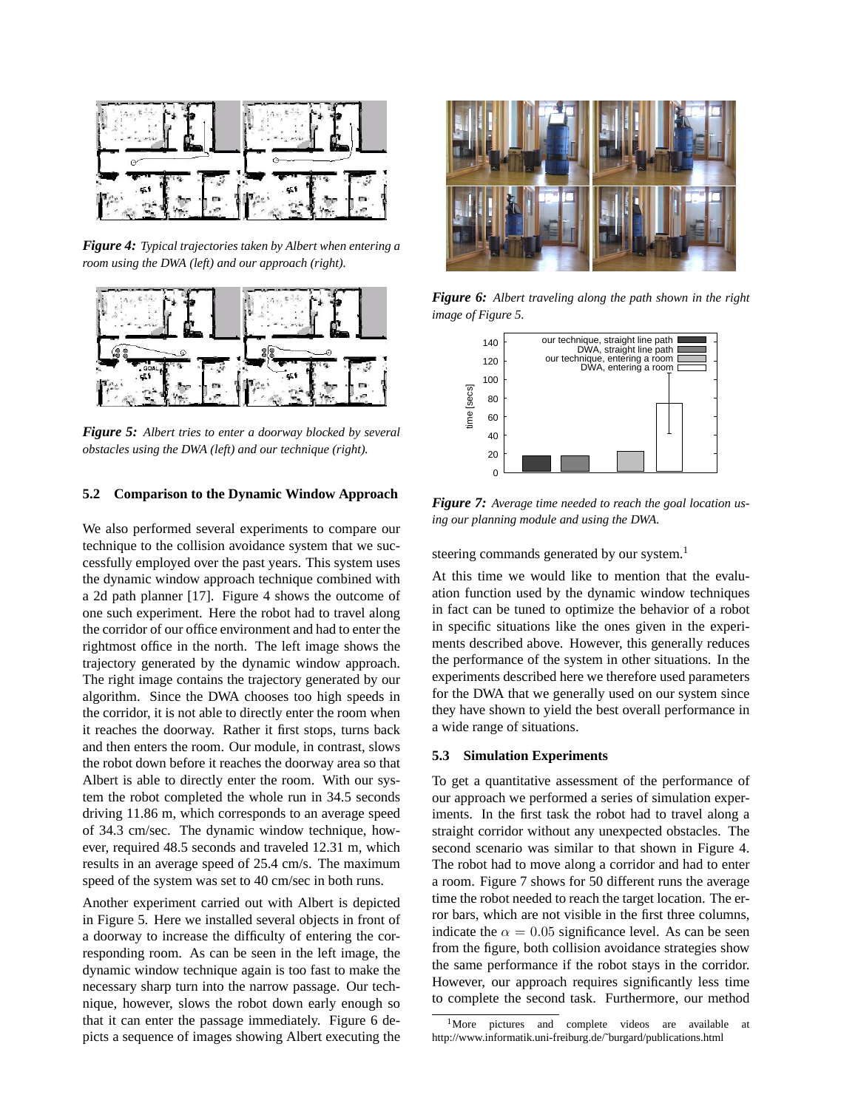

*Figure 4: Typical trajectories taken by Albert when entering a room using the DWA (left) and our approach (right).*



*Figure 5: Albert tries to enter a doorway blocked by several obstacles using the DWA (left) and our technique (right).*

## **5.2 Comparison to the Dynamic Window Approach**

We also performed several experiments to compare our technique to the collision avoidance system that we successfully employed over the past years. This system uses the dynamic window approach technique combined with a 2d path planner [17]. Figure 4 shows the outcome of one such experiment. Here the robot had to travel along the corridor of our office environment and had to enter the rightmost office in the north. The left image shows the trajectory generated by the dynamic window approach. The right image contains the trajectory generated by our algorithm. Since the DWA chooses too high speeds in the corridor, it is not able to directly enter the room when it reaches the doorway. Rather it first stops, turns back and then enters the room. Our module, in contrast, slows the robot down before it reaches the doorway area so that Albert is able to directly enter the room. With our system the robot completed the whole run in 34.5 seconds driving 11.86 m, which corresponds to an average speed of 34.3 cm/sec. The dynamic window technique, however, required 48.5 seconds and traveled 12.31 m, which results in an average speed of 25.4 cm/s. The maximum speed of the system was set to 40 cm/sec in both runs.

Another experiment carried out with Albert is depicted in Figure 5. Here we installed several objects in front of a doorway to increase the difficulty of entering the corresponding room. As can be seen in the left image, the dynamic window technique again is too fast to make the necessary sharp turn into the narrow passage. Our technique, however, slows the robot down early enough so that it can enter the passage immediately. Figure 6 depicts a sequence of images showing Albert executing the



*Figure 6: Albert traveling along the path shown in the right image of Figure 5.*



*Figure 7: Average time needed to reach the goal location using our planning module and using the DWA.*

steering commands generated by our system.<sup>1</sup>

At this time we would like to mention that the evaluation function used by the dynamic window techniques in fact can be tuned to optimize the behavior of a robot in specific situations like the ones given in the experiments described above. However, this generally reduces the performance of the system in other situations. In the experiments described here we therefore used parameters for the DWA that we generally used on our system since they have shown to yield the best overall performance in a wide range of situations.

#### **5.3 Simulation Experiments**

To get a quantitative assessment of the performance of our approach we performed a series of simulation experiments. In the first task the robot had to travel along a straight corridor without any unexpected obstacles. The second scenario was similar to that shown in Figure 4. The robot had to move along a corridor and had to enter a room. Figure 7 shows for 50 different runs the average time the robot needed to reach the target location. The error bars, which are not visible in the first three columns, indicate the  $\alpha = 0.05$  significance level. As can be seen from the figure, both collision avoidance strategies show the same performance if the robot stays in the corridor. However, our approach requires significantly less time to complete the second task. Furthermore, our method

<sup>&</sup>lt;sup>1</sup>More pictures and complete videos are available at http://www.informatik.uni-freiburg.de/˜burgard/publications.html